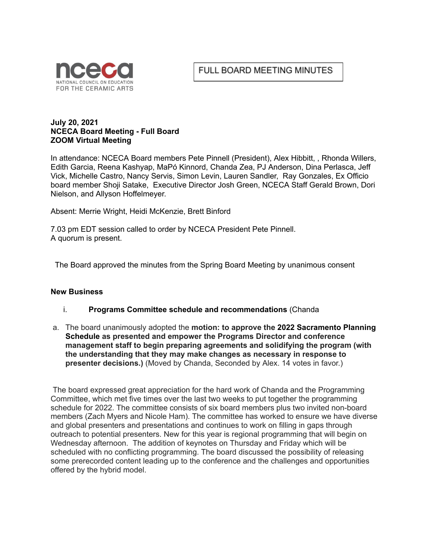



#### **July 20, 2021 NCECA Board Meeting - Full Board ZOOM Virtual Meeting**

In attendance: NCECA Board members Pete Pinnell (President), Alex Hibbitt, , Rhonda Willers, Edith Garcia, Reena Kashyap, MaPó Kinnord, Chanda Zea, PJ Anderson, Dina Perlasca, Jeff Vick, Michelle Castro, Nancy Servis, Simon Levin, Lauren Sandler, Ray Gonzales, Ex Officio board member Shoji Satake, Executive Director Josh Green, NCECA Staff Gerald Brown, Dori Nielson, and Allyson Hoffelmeyer.

Absent: Merrie Wright, Heidi McKenzie, Brett Binford

7.03 pm EDT session called to order by NCECA President Pete Pinnell. A quorum is present.

The Board approved the minutes from the Spring Board Meeting by unanimous consent

#### **New Business**

- i. **Programs Committee schedule and recommendations** (Chanda
- a. The board unanimously adopted the **motion: to approve the 2022 Sacramento Planning Schedule as presented and empower the Programs Director and conference management staff to begin preparing agreements and solidifying the program (with the understanding that they may make changes as necessary in response to presenter decisions.)** (Moved by Chanda, Seconded by Alex. 14 votes in favor.)

The board expressed great appreciation for the hard work of Chanda and the Programming Committee, which met five times over the last two weeks to put together the programming schedule for 2022. The committee consists of six board members plus two invited non-board members (Zach Myers and Nicole Ham). The committee has worked to ensure we have diverse and global presenters and presentations and continues to work on filling in gaps through outreach to potential presenters. New for this year is regional programming that will begin on Wednesday afternoon. The addition of keynotes on Thursday and Friday which will be scheduled with no conflicting programming. The board discussed the possibility of releasing some prerecorded content leading up to the conference and the challenges and opportunities offered by the hybrid model.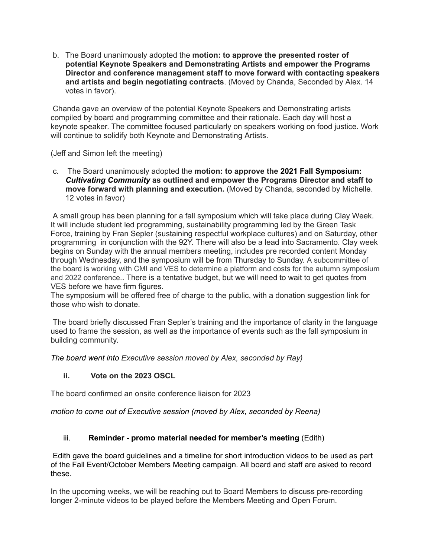b. The Board unanimously adopted the **motion: to approve the presented roster of potential Keynote Speakers and Demonstrating Artists and empower the Programs Director and conference management staff to move forward with contacting speakers and artists and begin negotiating contracts**. (Moved by Chanda, Seconded by Alex. 14 votes in favor).

Chanda gave an overview of the potential Keynote Speakers and Demonstrating artists compiled by board and programming committee and their rationale. Each day will host a keynote speaker. The committee focused particularly on speakers working on food justice. Work will continue to solidify both Keynote and Demonstrating Artists.

(Jeff and Simon left the meeting)

c. The Board unanimously adopted the **motion: to approve the 2021 Fall Symposium:** *Cultivating Community* **as outlined and empower the Programs Director and staff to move forward with planning and execution.** (Moved by Chanda, seconded by Michelle. 12 votes in favor)

A small group has been planning for a fall symposium which will take place during Clay Week. It will include student led programming, sustainability programming led by the Green Task Force, training by Fran Sepler (sustaining respectful workplace cultures) and on Saturday, other programming in conjunction with the 92Y. There will also be a lead into Sacramento. Clay week begins on Sunday with the annual members meeting, includes pre recorded content Monday through Wednesday, and the symposium will be from Thursday to Sunday. A subcommittee of the board is working with CMI and VES to determine a platform and costs for the autumn symposium and 2022 conference.. There is a tentative budget, but we will need to wait to get quotes from VES before we have firm figures.

The symposium will be offered free of charge to the public, with a donation suggestion link for those who wish to donate.

The board briefly discussed Fran Sepler's training and the importance of clarity in the language used to frame the session, as well as the importance of events such as the fall symposium in building community.

*The board went into Executive session moved by Alex, seconded by Ray)*

# **ii. Vote on the 2023 OSCL**

The board confirmed an onsite conference liaison for 2023

*motion to come out of Executive session (moved by Alex, seconded by Reena)*

# iii. **Reminder - promo material needed for member's meeting** (Edith)

Edith gave the board guidelines and a timeline for short introduction videos to be used as part of the Fall Event/October Members Meeting campaign. All board and staff are asked to record these.

In the upcoming weeks, we will be reaching out to Board Members to discuss pre-recording longer 2-minute videos to be played before the Members Meeting and Open Forum.